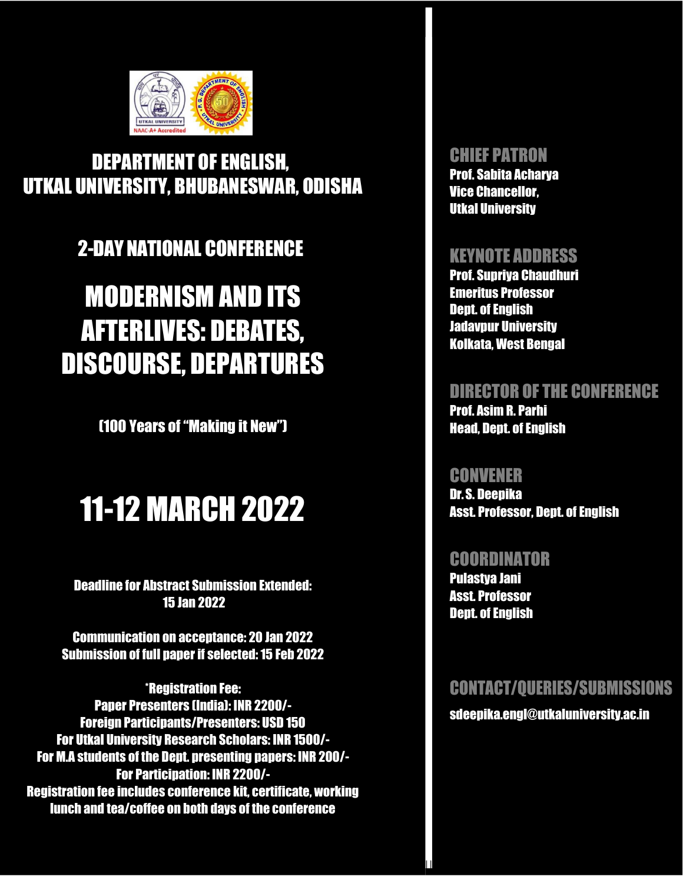

# DEPARTMENT OF ENGLISH, UTKAL UNIVERSITY, BHUBANESWAR, ODISHA

# 2-DAY NATIONAL CONFERENCE

# MODERNISM AND ITS AFTERLIVES: DEBATES, DISCOURSE, DEPARTURES

(100 Years of "Making it New")

# 11-12 MARCH 2022

Deadline for Abstract Submission Extended: 15 Jan 2022

Communication on acceptance: 20 Jan 2022 Submission of full paper if selected: 15 Feb 2022

Paper Presenters (India): INR 2200/- Foreign Participants/Presenters: USD 150 For Utkal University Research Scholars: INR 1500/- For M.A students of the Dept. presenting papers: INR 200/- For Participation: INR 2200/- Registration fee includes conference kit, certificate, working lunch and tea/coffee on both days of the conference

#### CHIEF PATRON

Prof. Sabita Acharya Vice Chancellor, Utkal University

## KEYNOTE ADDRESS

Prof. Supriya Chaudhuri Emeritus Professor Dept. of English Jadavpur University Kolkata, West Bengal

## DIRECTOR OF THE CONFERENCE

Prof. Asim R. Parhi Head, Dept. of English

### CONVENER

Dr. S. Deenika Asst. Professor, Dept. of English

### COORDINATOR

Pulastya Jani Asst. Professor Dept. of English

# \*Registration Fee: CONTACT/QUERIES/SUBMISSIONS

[sdeepika.engl@utkaluniversity.ac.in](mailto:sdeepika.engl@utkaluniversity.ac.in)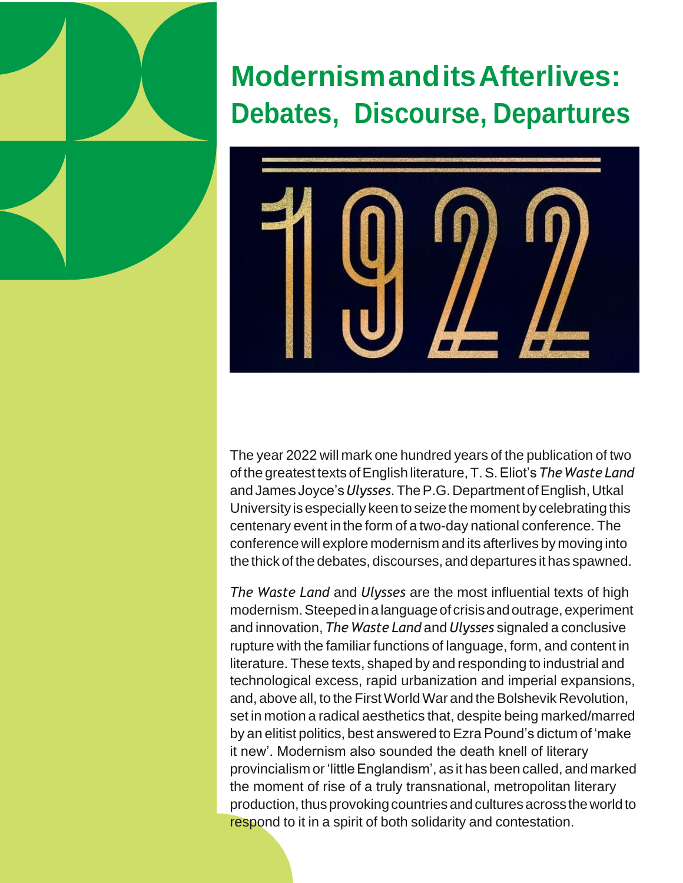# **ModernismanditsAfterlives: Debates, Discourse, Departures**



The year 2022 will mark one hundred years of the publication of two of the greatest texts ofEnglish literature,T.S.Eliot's *TheWaste Land*  andJames Joyce's*Ulysses*.TheP.G.Department ofEnglish,Utkal University is especially keen to seize the moment by celebrating this centenary event in the form of a two-day national conference. The conference will explore modernism and its afterlives by moving into the thick of the debates, discourses, and departures it has spawned.

*The Waste Land* and *Ulysses* are the most influential texts of high modernism. Steeped in a language of crisis and outrage, experiment and innovation, *The Waste Land* and *Ulysses* signaled a conclusive rupture with the familiar functions of language, form, and content in literature. These texts, shaped by and responding to industrial and technological excess, rapid urbanization and imperial expansions, and, above all, to the First World War and the Bolshevik Revolution, set in motion a radical aesthetics that, despite being marked/marred by an elitist politics, best answered to Ezra Pound's dictum of 'make it new'. Modernism also sounded the death knell of literary provincialism or'littleEnglandism', as it has been called, and marked the moment of rise of a truly transnational, metropolitan literary production, thus provoking countries and cultures across the world to respond to it in a spirit of both solidarity and contestation.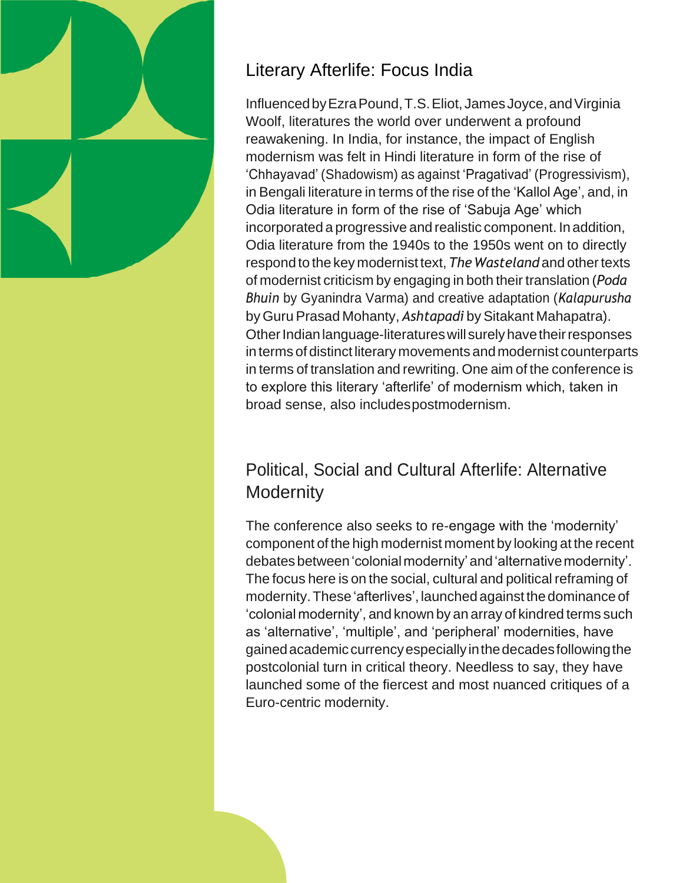

# Literary Afterlife: Focus India

InfluencedbyEzraPound,T.S.Eliot, JamesJoyce,andVirginia Woolf, literatures the world over underwent a profound reawakening. In India, for instance, the impact of English modernism was felt in Hindi literature in form of the rise of 'Chhayavad' (Shadowism) as against 'Pragativad' (Progressivism), in Bengali literature in terms of the rise of the 'Kallol Age', and, in Odia literature in form of the rise of 'Sabuja Age' which incorporated a progressive and realistic component. In addition, Odia literature from the 1940s to the 1950s went on to directly respond to the key modernist text, *The Wasteland* and othertexts of modernist criticism by engaging in both their translation (*Poda Bhuin* by Gyanindra Varma) and creative adaptation (*Kalapurusha*  by Guru Prasad Mohanty, Ashtapadi by Sitakant Mahapatra). Other Indian language-literatures will surely have their responses in terms of distinct literary movements andmodernist counterparts in terms of translation and rewriting. One aim of the conference is to explore this literary 'afterlife' of modernism which, taken in broad sense, also includespostmodernism.

# Political, Social and Cultural Afterlife: Alternative **Modernity**

The conference also seeks to re-engage with the 'modernity' component of the high modernist moment by looking at the recent debates between 'colonial modernity' and 'alternative modernity'. The focus here is on the social, cultural and political reframing of modernity. These 'afterlives', launched against the dominance of 'colonial modernity', and known by an array of kindred terms such as 'alternative', 'multiple', and 'peripheral' modernities, have gainedacademiccurrencyespeciallyinthedecadesfollowingthe postcolonial turn in critical theory. Needless to say, they have launched some of the fiercest and most nuanced critiques of a Euro-centric modernity.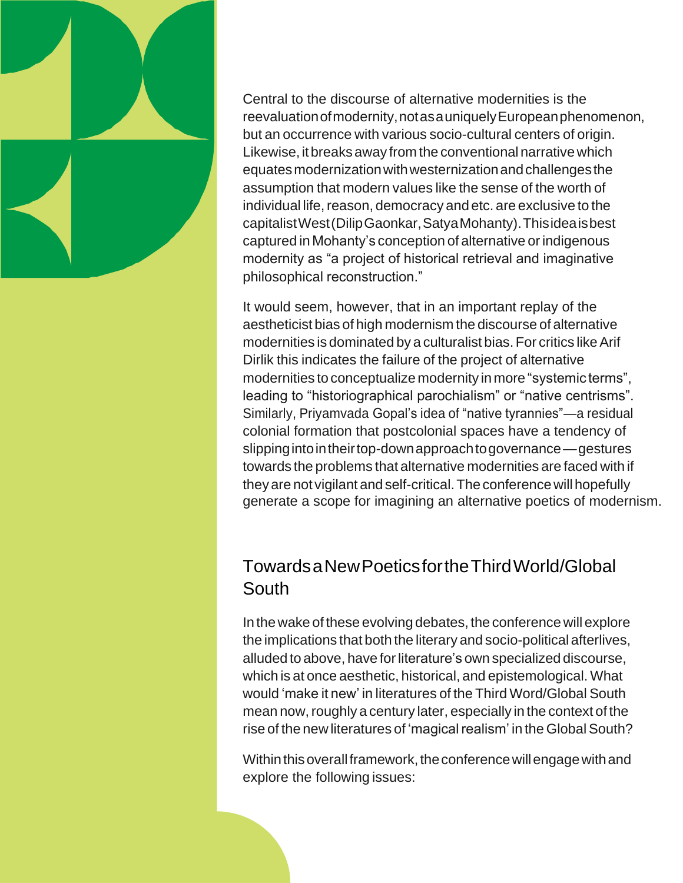

Central to the discourse of alternative modernities is the reevaluationofmodernity,notasauniquelyEuropeanphenomenon, but an occurrence with various socio-cultural centers of origin. Likewise, it breaks away from the conventional narrative which equatesmodernizationwithwesternizationandchallengesthe assumption that modern values like the sense of the worth of individual life, reason, democracy and etc. are exclusive to the capitalistWest(DilipGaonkar,SatyaMohanty).Thisideaisbest captured in Mohanty's conception of alternative orindigenous modernity as "a project of historical retrieval and imaginative philosophical reconstruction."

It would seem, however, that in an important replay of the aestheticist bias of high modernism the discourse of alternative modernities is dominated by a culturalist bias. For critics like Arif Dirlik this indicates the failure of the project of alternative modernities to conceptualize modernity inmore "systemic terms", leading to "historiographical parochialism" or "native centrisms". Similarly, Priyamvada Gopal's idea of "native tyrannies"—a residual colonial formation that postcolonial spaces have a tendency of slipping into in their top-down approach to governance — gestures towards the problems that alternative modernities are faced with if they are not vigilant and self-critical. The conference will hopefully generate a scope for imagining an alternative poetics of modernism.

# TowardsaNewPoeticsfortheThirdWorld/Global South

Inthe wake of these evolving debates, the conference will explore the implications that both the literary and socio-political afterlives, alluded to above, have forliterature's own specialized discourse, which is at once aesthetic, historical, and epistemological. What would 'make it new' in literatures of the Third Word/Global South mean now, roughly a century later, especially in the context of the rise of the new literatures of 'magical realism' in the Global South?

Within this overall framework, the conference will engage with and explore the following issues: